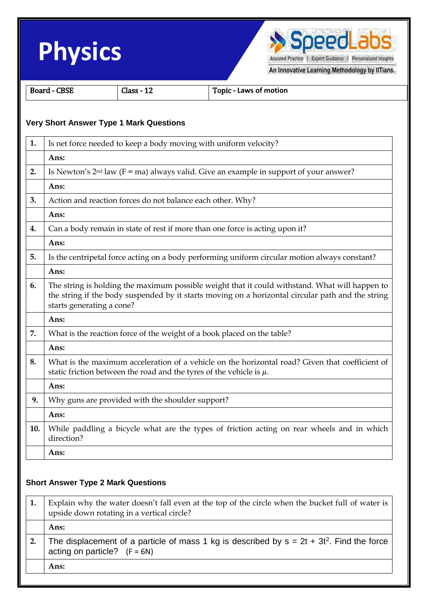



An Innovative Learning Methodology by IITians.

| <b>Board - CBSE</b> |                                                                                                                                                                                                                                  | Class - 12                                                 | <b>Topic - Laws of motion</b>                                                                                                                                               |  |
|---------------------|----------------------------------------------------------------------------------------------------------------------------------------------------------------------------------------------------------------------------------|------------------------------------------------------------|-----------------------------------------------------------------------------------------------------------------------------------------------------------------------------|--|
|                     |                                                                                                                                                                                                                                  | <b>Very Short Answer Type 1 Mark Questions</b>             |                                                                                                                                                                             |  |
| 1.                  |                                                                                                                                                                                                                                  |                                                            | Is net force needed to keep a body moving with uniform velocity?                                                                                                            |  |
|                     | Ans:                                                                                                                                                                                                                             |                                                            |                                                                                                                                                                             |  |
| 2.                  | Is Newton's $2nd$ law (F = ma) always valid. Give an example in support of your answer?                                                                                                                                          |                                                            |                                                                                                                                                                             |  |
|                     | Ans:                                                                                                                                                                                                                             |                                                            |                                                                                                                                                                             |  |
| 3.                  |                                                                                                                                                                                                                                  | Action and reaction forces do not balance each other. Why? |                                                                                                                                                                             |  |
|                     | Ans:                                                                                                                                                                                                                             |                                                            |                                                                                                                                                                             |  |
| 4.                  |                                                                                                                                                                                                                                  |                                                            | Can a body remain in state of rest if more than one force is acting upon it?                                                                                                |  |
|                     | Ans:                                                                                                                                                                                                                             |                                                            |                                                                                                                                                                             |  |
| 5.                  |                                                                                                                                                                                                                                  |                                                            | Is the centripetal force acting on a body performing uniform circular motion always constant?                                                                               |  |
|                     | Ans:                                                                                                                                                                                                                             |                                                            |                                                                                                                                                                             |  |
| 6.                  | The string is holding the maximum possible weight that it could withstand. What will happen to<br>the string if the body suspended by it starts moving on a horizontal circular path and the string<br>starts generating a cone? |                                                            |                                                                                                                                                                             |  |
|                     | Ans:                                                                                                                                                                                                                             |                                                            |                                                                                                                                                                             |  |
| 7.                  | What is the reaction force of the weight of a book placed on the table?                                                                                                                                                          |                                                            |                                                                                                                                                                             |  |
|                     | Ans:                                                                                                                                                                                                                             |                                                            |                                                                                                                                                                             |  |
| 8.                  |                                                                                                                                                                                                                                  |                                                            | What is the maximum acceleration of a vehicle on the horizontal road? Given that coefficient of<br>static friction between the road and the tyres of the vehicle is $\mu$ . |  |
|                     | Ans:                                                                                                                                                                                                                             |                                                            |                                                                                                                                                                             |  |
| 9.                  | Why guns are provided with the shoulder support?                                                                                                                                                                                 |                                                            |                                                                                                                                                                             |  |
|                     | Ans:                                                                                                                                                                                                                             |                                                            |                                                                                                                                                                             |  |
| 10.                 | direction?                                                                                                                                                                                                                       |                                                            | While paddling a bicycle what are the types of friction acting on rear wheels and in which                                                                                  |  |
|                     | Ans:                                                                                                                                                                                                                             |                                                            |                                                                                                                                                                             |  |

## **Short Answer Type 2 Mark Questions**

| Explain why the water doesn't fall even at the top of the circle when the bucket full of water is<br>upside down rotating in a vertical circle? |  |
|-------------------------------------------------------------------------------------------------------------------------------------------------|--|
| Ans:                                                                                                                                            |  |
| The displacement of a particle of mass 1 kg is described by $s = 2t + 3t^2$ . Find the force<br>acting on particle? $(F = 6N)$                  |  |
| Ans:                                                                                                                                            |  |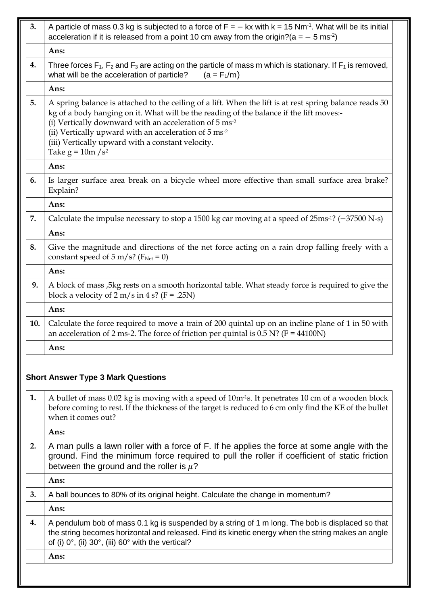| 3.  | A particle of mass 0.3 kg is subjected to a force of $F = -kx$ with $k = 15$ Nm <sup>-1</sup> . What will be its initial<br>acceleration if it is released from a point 10 cm away from the origin?( $a = -5$ ms <sup>-2</sup> )                                                                                                                                                                             |  |  |
|-----|--------------------------------------------------------------------------------------------------------------------------------------------------------------------------------------------------------------------------------------------------------------------------------------------------------------------------------------------------------------------------------------------------------------|--|--|
|     | Ans:                                                                                                                                                                                                                                                                                                                                                                                                         |  |  |
| 4.  | Three forces $F_1$ , $F_2$ and $F_3$ are acting on the particle of mass m which is stationary. If $F_1$ is removed,<br>what will be the acceleration of particle?<br>$(a = F_1/m)$                                                                                                                                                                                                                           |  |  |
|     | Ans:                                                                                                                                                                                                                                                                                                                                                                                                         |  |  |
| 5.  | A spring balance is attached to the ceiling of a lift. When the lift is at rest spring balance reads 50<br>kg of a body hanging on it. What will be the reading of the balance if the lift moves:-<br>(i) Vertically downward with an acceleration of 5 ms <sup>-2</sup><br>(ii) Vertically upward with an acceleration of 5 ms-2<br>(iii) Vertically upward with a constant velocity.<br>Take $g = 10m/s^2$ |  |  |
|     | Ans:                                                                                                                                                                                                                                                                                                                                                                                                         |  |  |
| 6.  | Is larger surface area break on a bicycle wheel more effective than small surface area brake?<br>Explain?                                                                                                                                                                                                                                                                                                    |  |  |
|     | Ans:                                                                                                                                                                                                                                                                                                                                                                                                         |  |  |
| 7.  | Calculate the impulse necessary to stop a 1500 kg car moving at a speed of 25ms <sup>-1</sup> ? (-37500 N-s)                                                                                                                                                                                                                                                                                                 |  |  |
|     | Ans:                                                                                                                                                                                                                                                                                                                                                                                                         |  |  |
| 8.  | Give the magnitude and directions of the net force acting on a rain drop falling freely with a<br>constant speed of $5 \text{ m/s}$ ? ( $F_{\text{Net}} = 0$ )                                                                                                                                                                                                                                               |  |  |
|     | Ans:                                                                                                                                                                                                                                                                                                                                                                                                         |  |  |
| 9.  | A block of mass ,5kg rests on a smooth horizontal table. What steady force is required to give the<br>block a velocity of $2 \text{ m/s}$ in $4 \text{ s?}$ (F = .25N)                                                                                                                                                                                                                                       |  |  |
|     | Ans:                                                                                                                                                                                                                                                                                                                                                                                                         |  |  |
| 10. | Calculate the force required to move a train of 200 quintal up on an incline plane of 1 in 50 with<br>an acceleration of 2 ms-2. The force of friction per quintal is $0.5$ N? (F = 44100N)                                                                                                                                                                                                                  |  |  |
|     | Ans:                                                                                                                                                                                                                                                                                                                                                                                                         |  |  |

## **Short Answer Type 3 Mark Questions**

| 1. | A bullet of mass 0.02 kg is moving with a speed of 10m <sup>-1</sup> s. It penetrates 10 cm of a wooden block<br>before coming to rest. If the thickness of the target is reduced to 6 cm only find the KE of the bullet<br>when it comes out?                                     |
|----|------------------------------------------------------------------------------------------------------------------------------------------------------------------------------------------------------------------------------------------------------------------------------------|
|    | Ans:                                                                                                                                                                                                                                                                               |
| 2. | A man pulls a lawn roller with a force of F. If he applies the force at some angle with the<br>ground. Find the minimum force required to pull the roller if coefficient of static friction<br>between the ground and the roller is $\mu$ ?                                        |
|    | Ans:                                                                                                                                                                                                                                                                               |
| 3. | A ball bounces to 80% of its original height. Calculate the change in momentum?                                                                                                                                                                                                    |
|    | Ans:                                                                                                                                                                                                                                                                               |
| 4. | A pendulum bob of mass 0.1 kg is suspended by a string of 1 m long. The bob is displaced so that<br>the string becomes horizontal and released. Find its kinetic energy when the string makes an angle<br>of (i) $0^\circ$ , (ii) $30^\circ$ , (iii) $60^\circ$ with the vertical? |
|    | Ans:                                                                                                                                                                                                                                                                               |
|    |                                                                                                                                                                                                                                                                                    |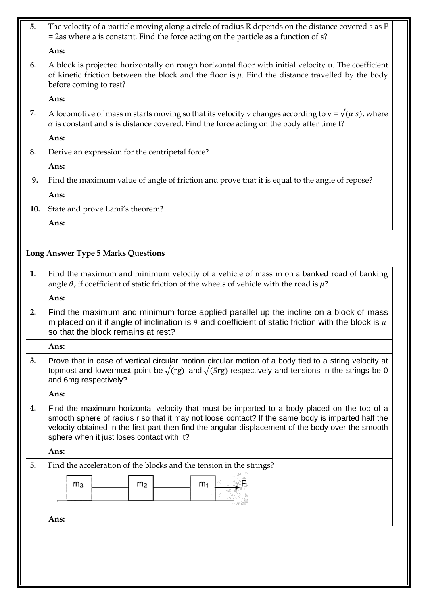| 5.  | The velocity of a particle moving along a circle of radius R depends on the distance covered s as F<br>$=$ 2as where a is constant. Find the force acting on the particle as a function of $s$ ?                                         |
|-----|------------------------------------------------------------------------------------------------------------------------------------------------------------------------------------------------------------------------------------------|
|     | Ans:                                                                                                                                                                                                                                     |
| 6.  | A block is projected horizontally on rough horizontal floor with initial velocity u. The coefficient<br>of kinetic friction between the block and the floor is $\mu$ . Find the distance travelled by the body<br>before coming to rest? |
|     | Ans:                                                                                                                                                                                                                                     |
| 7.  | A locomotive of mass m starts moving so that its velocity v changes according to $v = \sqrt{(\alpha s)}$ , where<br>$\alpha$ is constant and s is distance covered. Find the force acting on the body after time t?                      |
|     | Ans:                                                                                                                                                                                                                                     |
| 8.  | Derive an expression for the centripetal force?                                                                                                                                                                                          |
|     | Ans:                                                                                                                                                                                                                                     |
| 9.  | Find the maximum value of angle of friction and prove that it is equal to the angle of repose?                                                                                                                                           |
|     | Ans:                                                                                                                                                                                                                                     |
| 10. | State and prove Lami's theorem?                                                                                                                                                                                                          |
|     | Ans:                                                                                                                                                                                                                                     |

## **Long Answer Type 5 Marks Questions**

| 1. | Find the maximum and minimum velocity of a vehicle of mass m on a banked road of banking<br>angle $\theta$ , if coefficient of static friction of the wheels of vehicle with the road is $\mu$ ?                                                                                                                                                     |  |  |
|----|------------------------------------------------------------------------------------------------------------------------------------------------------------------------------------------------------------------------------------------------------------------------------------------------------------------------------------------------------|--|--|
|    | Ans:                                                                                                                                                                                                                                                                                                                                                 |  |  |
| 2. | Find the maximum and minimum force applied parallel up the incline on a block of mass<br>m placed on it if angle of inclination is $\theta$ and coefficient of static friction with the block is $\mu$<br>so that the block remains at rest?                                                                                                         |  |  |
|    | Ans:                                                                                                                                                                                                                                                                                                                                                 |  |  |
| 3. | Prove that in case of vertical circular motion circular motion of a body tied to a string velocity at<br>topmost and lowermost point be $\sqrt{(\text{rg})}$ and $\sqrt{5 \text{rg}}$ respectively and tensions in the strings be 0<br>and 6mg respectively?                                                                                         |  |  |
|    | Ans:                                                                                                                                                                                                                                                                                                                                                 |  |  |
| 4. | Find the maximum horizontal velocity that must be imparted to a body placed on the top of a<br>smooth sphere of radius r so that it may not loose contact? If the same body is imparted half the<br>velocity obtained in the first part then find the angular displacement of the body over the smooth<br>sphere when it just loses contact with it? |  |  |
|    | Ans:                                                                                                                                                                                                                                                                                                                                                 |  |  |
| 5. | Find the acceleration of the blocks and the tension in the strings?<br>m <sub>3</sub><br>m <sub>2</sub><br>m <sub>1</sub>                                                                                                                                                                                                                            |  |  |
|    | Ans:                                                                                                                                                                                                                                                                                                                                                 |  |  |
|    |                                                                                                                                                                                                                                                                                                                                                      |  |  |
|    |                                                                                                                                                                                                                                                                                                                                                      |  |  |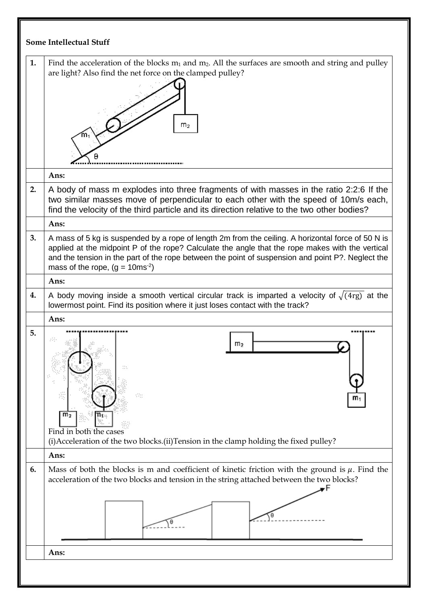| 1.<br>are light? Also find the net force on the clamped pulley?<br>m <sub>2</sub><br>m<br>Ans:<br>2.<br>find the velocity of the third particle and its direction relative to the two other bodies?<br>Ans:<br>3.<br>mass of the rope, $(g = 10 \text{ms}^{-2})$<br>Ans:<br>4.<br>lowermost point. Find its position where it just loses contact with the track?<br>Ans:<br>5.<br>m<br>m <sub>2</sub><br>Find in both the cases<br>(i) Acceleration of the two blocks. (ii) Tension in the clamp holding the fixed pulley?<br>Ans:<br>6.<br>acceleration of the two blocks and tension in the string attached between the two blocks?<br>Ans: | <b>Some Intellectual Stuff</b>                                                                                                                                                                                                                                                                              |
|-----------------------------------------------------------------------------------------------------------------------------------------------------------------------------------------------------------------------------------------------------------------------------------------------------------------------------------------------------------------------------------------------------------------------------------------------------------------------------------------------------------------------------------------------------------------------------------------------------------------------------------------------|-------------------------------------------------------------------------------------------------------------------------------------------------------------------------------------------------------------------------------------------------------------------------------------------------------------|
|                                                                                                                                                                                                                                                                                                                                                                                                                                                                                                                                                                                                                                               | Find the acceleration of the blocks $m_1$ and $m_2$ . All the surfaces are smooth and string and pulley                                                                                                                                                                                                     |
|                                                                                                                                                                                                                                                                                                                                                                                                                                                                                                                                                                                                                                               |                                                                                                                                                                                                                                                                                                             |
|                                                                                                                                                                                                                                                                                                                                                                                                                                                                                                                                                                                                                                               | A body of mass m explodes into three fragments of with masses in the ratio 2:2:6 If the<br>two similar masses move of perpendicular to each other with the speed of 10m/s each,                                                                                                                             |
|                                                                                                                                                                                                                                                                                                                                                                                                                                                                                                                                                                                                                                               |                                                                                                                                                                                                                                                                                                             |
|                                                                                                                                                                                                                                                                                                                                                                                                                                                                                                                                                                                                                                               | A mass of 5 kg is suspended by a rope of length 2m from the ceiling. A horizontal force of 50 N is<br>applied at the midpoint P of the rope? Calculate the angle that the rope makes with the vertical<br>and the tension in the part of the rope between the point of suspension and point P?. Neglect the |
|                                                                                                                                                                                                                                                                                                                                                                                                                                                                                                                                                                                                                                               |                                                                                                                                                                                                                                                                                                             |
|                                                                                                                                                                                                                                                                                                                                                                                                                                                                                                                                                                                                                                               | A body moving inside a smooth vertical circular track is imparted a velocity of $\sqrt{(4 \text{rg})}$ at the                                                                                                                                                                                               |
|                                                                                                                                                                                                                                                                                                                                                                                                                                                                                                                                                                                                                                               |                                                                                                                                                                                                                                                                                                             |
|                                                                                                                                                                                                                                                                                                                                                                                                                                                                                                                                                                                                                                               |                                                                                                                                                                                                                                                                                                             |
|                                                                                                                                                                                                                                                                                                                                                                                                                                                                                                                                                                                                                                               | Mass of both the blocks is m and coefficient of kinetic friction with the ground is $\mu$ . Find the                                                                                                                                                                                                        |
|                                                                                                                                                                                                                                                                                                                                                                                                                                                                                                                                                                                                                                               |                                                                                                                                                                                                                                                                                                             |
|                                                                                                                                                                                                                                                                                                                                                                                                                                                                                                                                                                                                                                               |                                                                                                                                                                                                                                                                                                             |